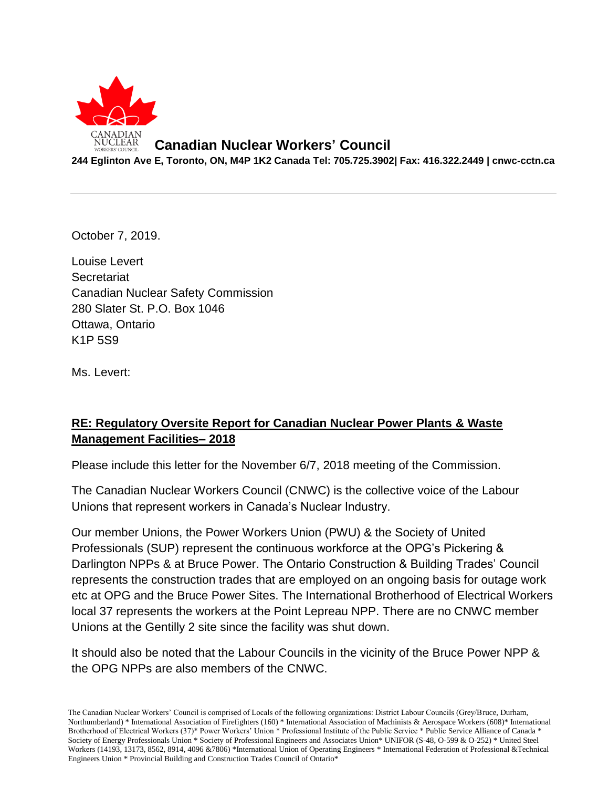

## **Canadian Nuclear Workers' Council**

**244 Eglinton Ave E, Toronto, ON, M4P 1K2 Canada Tel: 705.725.3902| Fax: 416.322.2449 | cnwc-cctn.ca**

October 7, 2019.

Louise Levert **Secretariat** Canadian Nuclear Safety Commission 280 Slater St. P.O. Box 1046 Ottawa, Ontario K1P 5S9

Ms. Levert:

## **RE: Regulatory Oversite Report for Canadian Nuclear Power Plants & Waste Management Facilities– 2018**

Please include this letter for the November 6/7, 2018 meeting of the Commission.

The Canadian Nuclear Workers Council (CNWC) is the collective voice of the Labour Unions that represent workers in Canada's Nuclear Industry.

Our member Unions, the Power Workers Union (PWU) & the Society of United Professionals (SUP) represent the continuous workforce at the OPG's Pickering & Darlington NPPs & at Bruce Power. The Ontario Construction & Building Trades' Council represents the construction trades that are employed on an ongoing basis for outage work etc at OPG and the Bruce Power Sites. The International Brotherhood of Electrical Workers local 37 represents the workers at the Point Lepreau NPP. There are no CNWC member Unions at the Gentilly 2 site since the facility was shut down.

It should also be noted that the Labour Councils in the vicinity of the Bruce Power NPP & the OPG NPPs are also members of the CNWC.

The Canadian Nuclear Workers' Council is comprised of Locals of the following organizations: District Labour Councils (Grey/Bruce, Durham, Northumberland) \* International Association of Firefighters (160) \* International Association of Machinists & Aerospace Workers (608)\* International Brotherhood of Electrical Workers (37)\* Power Workers' Union \* Professional Institute of the Public Service \* Public Service Alliance of Canada \* Society of Energy Professionals Union \* Society of Professional Engineers and Associates Union\* UNIFOR (S-48, O-599 & O-252) \* United Steel Workers (14193, 13173, 8562, 8914, 4096 &7806) \*International Union of Operating Engineers \* International Federation of Professional &Technical Engineers Union \* Provincial Building and Construction Trades Council of Ontario\*